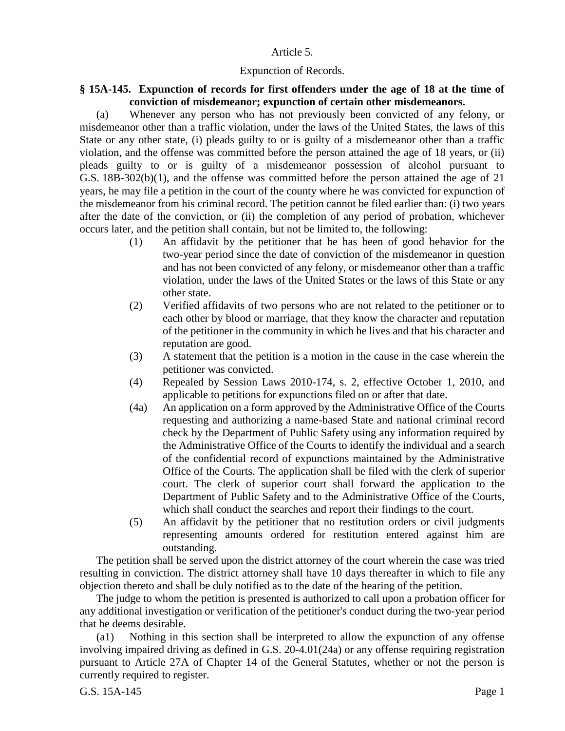## Article 5.

## Expunction of Records.

## **§ 15A-145. Expunction of records for first offenders under the age of 18 at the time of conviction of misdemeanor; expunction of certain other misdemeanors.**

(a) Whenever any person who has not previously been convicted of any felony, or misdemeanor other than a traffic violation, under the laws of the United States, the laws of this State or any other state, (i) pleads guilty to or is guilty of a misdemeanor other than a traffic violation, and the offense was committed before the person attained the age of 18 years, or (ii) pleads guilty to or is guilty of a misdemeanor possession of alcohol pursuant to G.S. 18B-302(b)(1), and the offense was committed before the person attained the age of 21 years, he may file a petition in the court of the county where he was convicted for expunction of the misdemeanor from his criminal record. The petition cannot be filed earlier than: (i) two years after the date of the conviction, or (ii) the completion of any period of probation, whichever occurs later, and the petition shall contain, but not be limited to, the following:

- (1) An affidavit by the petitioner that he has been of good behavior for the two-year period since the date of conviction of the misdemeanor in question and has not been convicted of any felony, or misdemeanor other than a traffic violation, under the laws of the United States or the laws of this State or any other state.
- (2) Verified affidavits of two persons who are not related to the petitioner or to each other by blood or marriage, that they know the character and reputation of the petitioner in the community in which he lives and that his character and reputation are good.
- (3) A statement that the petition is a motion in the cause in the case wherein the petitioner was convicted.
- (4) Repealed by Session Laws 2010-174, s. 2, effective October 1, 2010, and applicable to petitions for expunctions filed on or after that date.
- (4a) An application on a form approved by the Administrative Office of the Courts requesting and authorizing a name-based State and national criminal record check by the Department of Public Safety using any information required by the Administrative Office of the Courts to identify the individual and a search of the confidential record of expunctions maintained by the Administrative Office of the Courts. The application shall be filed with the clerk of superior court. The clerk of superior court shall forward the application to the Department of Public Safety and to the Administrative Office of the Courts, which shall conduct the searches and report their findings to the court.
- (5) An affidavit by the petitioner that no restitution orders or civil judgments representing amounts ordered for restitution entered against him are outstanding.

The petition shall be served upon the district attorney of the court wherein the case was tried resulting in conviction. The district attorney shall have 10 days thereafter in which to file any objection thereto and shall be duly notified as to the date of the hearing of the petition.

The judge to whom the petition is presented is authorized to call upon a probation officer for any additional investigation or verification of the petitioner's conduct during the two-year period that he deems desirable.

(a1) Nothing in this section shall be interpreted to allow the expunction of any offense involving impaired driving as defined in G.S. 20-4.01(24a) or any offense requiring registration pursuant to Article 27A of Chapter 14 of the General Statutes, whether or not the person is currently required to register.

G.S. 15A-145 Page 1